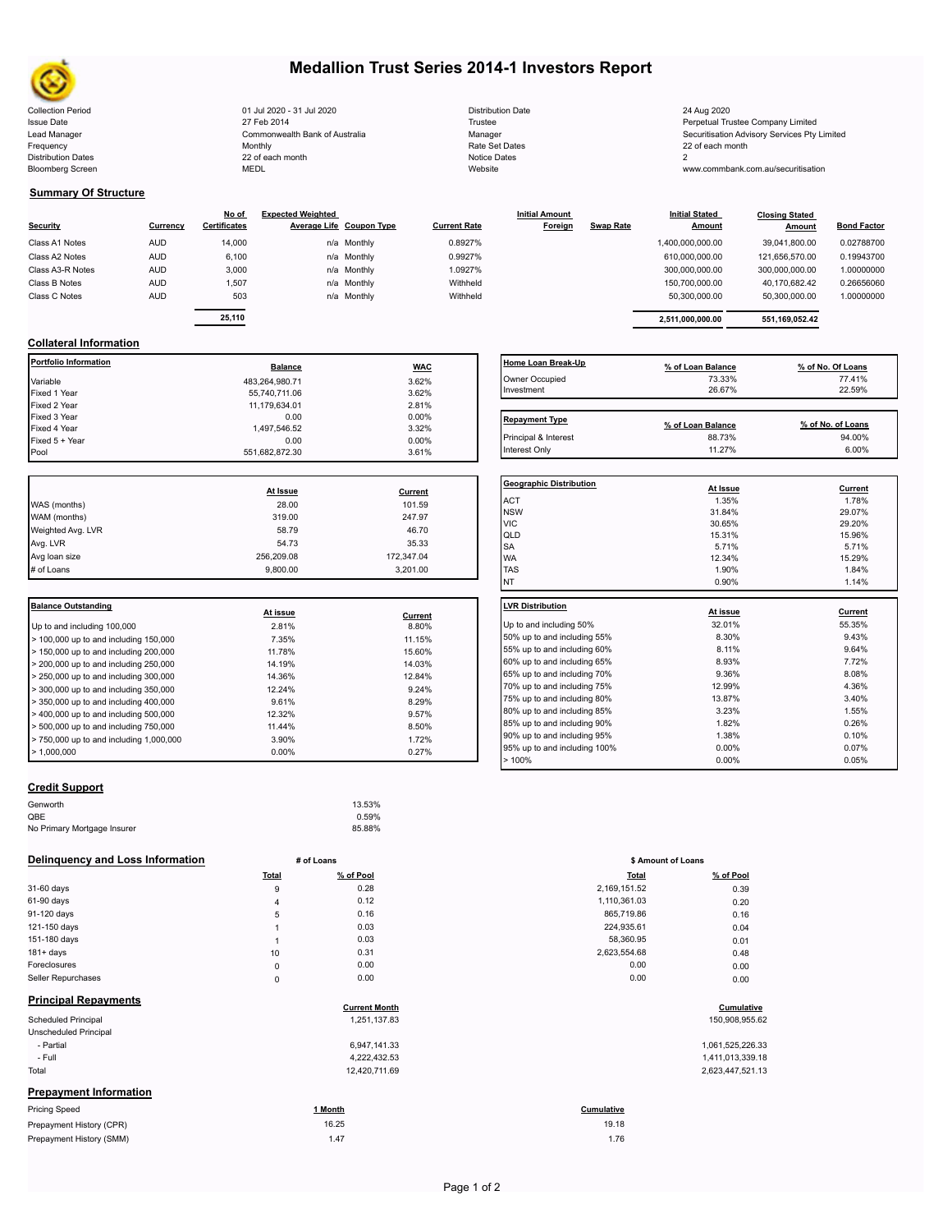

Bloomberg Screen

# **Medallion Trust Series 2014-1 Investors Report**

Collection Period 24 Aug 2020 20 13 Jul 2020 - 31 Jul 2020 20 20 Distribution Date 24 Aug 2020 Issue Date Merpetual Trustee Company Limited (Included trustee Depending the Securitisation Advisory Services Pty Limited<br>The Manager Manager Securitisation Advisory Services Pty Limited (Included trustee Company Securitis Frequency 22 of each month Monthly Monthly Rate Set Dates Rate Set Dates 22 of each month Distribution Dates **Notice 2** and the control of the 22 of each month **Notice Dates** Notice Dates 2 27 Feb 2014 Commonwealth Bank of Australia Monthly 22 of each month

| <b>Distribution Date</b> |
|--------------------------|
| Trustee                  |
| Manager                  |
| Rate Set Dates           |
| <b>Notice Dates</b>      |
| Website                  |

www.commbank.com.au/securitisation

### **Summary Of Structure**

|                  |            | No of               | <b>Expected Weighted</b> |             |                     | <b>Initial Amount</b> |                  | <b>Initial Stated</b> | <b>Closing Stated</b> |                    |
|------------------|------------|---------------------|--------------------------|-------------|---------------------|-----------------------|------------------|-----------------------|-----------------------|--------------------|
| <b>Security</b>  | Currency   | <b>Certificates</b> | Average Life Coupon Type |             | <b>Current Rate</b> | Foreign               | <b>Swap Rate</b> | <b>Amount</b>         | Amount                | <b>Bond Factor</b> |
| Class A1 Notes   | <b>AUD</b> | 14,000              |                          | n/a Monthly | 0.8927%             |                       |                  | 1,400,000,000.00      | 39,041,800.00         | 0.02788700         |
| Class A2 Notes   | <b>AUD</b> | 6,100               |                          | n/a Monthly | 0.9927%             |                       |                  | 610,000,000.00        | 121,656,570.00        | 0.19943700         |
| Class A3-R Notes | <b>AUD</b> | 3,000               |                          | n/a Monthly | 1.0927%             |                       |                  | 300,000,000.00        | 300,000,000.00        | 1.00000000         |
| Class B Notes    | <b>AUD</b> | 1,507               |                          | n/a Monthly | Withheld            |                       |                  | 150,700,000.00        | 40,170,682.42         | 0.26656060         |
| Class C Notes    | <b>AUD</b> | 503                 |                          | n/a Monthly | Withheld            |                       |                  | 50,300,000.00         | 50,300,000.00         | 1.00000000         |
|                  |            | -- ---              |                          |             |                     |                       |                  |                       |                       |                    |

| ificates: | Average Life Coupon Type | <b>Current Rate</b> | Foreign | <b>Swap Rate</b> | Amount           | Amount         | <b>Bond Factor</b> |  |
|-----------|--------------------------|---------------------|---------|------------------|------------------|----------------|--------------------|--|
| 14.000    | n/a Monthly              | 0.8927%             |         |                  | 1.400.000.000.00 | 39.041.800.00  | 0.02788700         |  |
| 6.100     | n/a Monthly              | 0.9927%             |         |                  | 610.000.000.00   | 121.656.570.00 | 0.19943700         |  |
| 3.000     | n/a Monthly              | 1.0927%             |         |                  | 300.000.000.00   | 300.000.000.00 | 1.00000000         |  |
| 1.507     | n/a Monthly              | Withheld            |         |                  | 150.700.000.00   | 40.170.682.42  | 0.26656060         |  |
| 503       | n/a Monthly              | Withheld            |         |                  | 50.300.000.00    | 50.300.000.00  | 1.00000000         |  |
|           |                          |                     |         |                  |                  |                |                    |  |
| 25,110    |                          |                     |         |                  | 2.511.000.000.00 | 551.169.052.42 |                    |  |
|           |                          |                     |         |                  |                  |                |                    |  |

## **Collateral Information**

| Portfolio Information | <b>Balance</b> | <b>WAC</b> | Home Loan Break-Up    | % of Loan Balance | % of No. Of Loans |
|-----------------------|----------------|------------|-----------------------|-------------------|-------------------|
| Variable              | 483,264,980.71 | 3.62%      | Owner Occupied        | 73.33%            | 77.41%            |
| Fixed 1 Year          | 55,740,711.06  | 3.62%      | Investment            | 26.67%            | 22.59%            |
| Fixed 2 Year          | 11,179,634.01  | 2.81%      |                       |                   |                   |
| Fixed 3 Year          | 0.00           | 0.00%      | <b>Repayment Type</b> |                   |                   |
| Fixed 4 Year          | 1,497,546.52   | 3.32%      |                       | % of Loan Balance | % of No. of Loans |
| Fixed 5 + Year        | 0.00           | $0.00\%$   | Principal & Interest  | 88.73%            | 94.00%            |
| Pool                  | 551,682,872.30 | 3.61%      | Interest Only         | 11.27%            | 6.00%             |

|                   |            |            | Geo              |
|-------------------|------------|------------|------------------|
|                   | At Issue   | Current    |                  |
| WAS (months)      | 28.00      | 101.59     | AC <sup>-</sup>  |
| WAM (months)      | 319.00     | 247.97     | <b>NS</b><br>VIC |
| Weighted Avg. LVR | 58.79      | 46.70      | QLI              |
| Avg. LVR          | 54.73      | 35.33      | <b>SA</b>        |
| Avg loan size     | 256,209.08 | 172,347.04 | <b>WA</b>        |
| # of Loans        | 9,800.00   | 3,201.00   | <b>TAS</b>       |
|                   |            |            |                  |

| <b>Balance Outstanding</b>                                | At issue | Current | LVR Distribution    |
|-----------------------------------------------------------|----------|---------|---------------------|
| Up to and including 100,000                               | 2.81%    | 8.80%   | Up to and including |
| $>$ 100,000 up to and including 150,000                   | 7.35%    | 11.15%  | 50% up to and incl  |
| $>$ 150,000 up to and including 200,000                   | 11.78%   | 15.60%  | 55% up to and incl  |
| $>$ 200,000 up to and including 250,000                   | 14.19%   | 14.03%  | 60% up to and incl  |
| $\geq$ 250,000 up to and including 300,000                | 14.36%   | 12.84%  | 65% up to and incl  |
| $>$ 300,000 up to and including 350,000                   | 12.24%   | 9.24%   | 70% up to and incl  |
| $\blacktriangleright$ 350,000 up to and including 400,000 | 9.61%    | 8.29%   | 75% up to and incl  |
| $>$ 400,000 up to and including 500,000                   | 12.32%   | 9.57%   | 80% up to and incl  |
| $>$ 500,000 up to and including 750,000                   | 11.44%   | 8.50%   | 85% up to and incl  |
| $> 750,000$ up to and including 1,000,000                 | 3.90%    | 1.72%   | 90% up to and incl  |
| $\blacktriangleright$ 1.000.000                           | $0.00\%$ | 0.27%   | 95% up to and incl  |

## **Home Loan Break-Up**<br> **2<u>% of Loan Balance</u> 13.33% by Mo. Of Loans**<br> **23.33%** 77.41% Owner Occupied 73.33% 77.41% 78.67% 77.41% 78.67% 77.41% Investment 26.67% 22.59% Repayment Type **Repayment Type % of Loan Balance % of No. of Loans**

| <b>Geographic Distribution</b> | At Issue | Current        |
|--------------------------------|----------|----------------|
| <b>ACT</b>                     | 1.35%    | 1.78%          |
| <b>NSW</b>                     | 31.84%   | 29.07%         |
| <b>VIC</b>                     | 30.65%   | 29.20%         |
| QLD                            | 15.31%   | 15.96%         |
| <b>SA</b>                      | 5.71%    | 5.71%          |
| <b>WA</b>                      | 12.34%   | 15.29%         |
| <b>TAS</b>                     | 1.90%    | 1.84%          |
| <b>NT</b>                      | 0.90%    | 1.14%          |
| <b>LVR Distribution</b>        | At issue | <b>Current</b> |
| Up to and including 50%        | 32.01%   | 55.35%         |
| 50% up to and including 55%    | 8.30%    | 9.43%          |
| 55% up to and including 60%    | 8.11%    | 9.64%          |
| 60% up to and including 65%    | 8.93%    | 7.72%          |
| 65% up to and including 70%    | 9.36%    | 8.08%          |
| 70% up to and including 75%    | 12.99%   | 4.36%          |
| 75% up to and including 80%    | 13.87%   | 3.40%          |
| 80% up to and including 85%    | 3.23%    | 1.55%          |
| 85% up to and including 90%    | 1.82%    | 0.26%          |
| 90% up to and including 95%    | 1.38%    | 0.10%          |
| 95% up to and including 100%   | 0.00%    | 0.07%          |
| >100%                          | 0.00%    | 0.05%          |

### **Credit Support**

| Genworth                    | 13.53% |
|-----------------------------|--------|
| QBE                         | 0.59%  |
| No Primary Mortgage Insurer | 85.88% |

#### **Delinquency and Loss Information # of Loans**

|                               | <b>Total</b>   | % of Pool            | <b>Total</b> | % of Pool        |
|-------------------------------|----------------|----------------------|--------------|------------------|
| 31-60 days                    | 9              | 0.28                 | 2,169,151.52 | 0.39             |
| 61-90 days                    | 4              | 0.12                 | 1,110,361.03 | 0.20             |
| 91-120 days                   | 5              | 0.16                 | 865,719.86   | 0.16             |
| 121-150 days                  | 1              | 0.03                 | 224,935.61   | 0.04             |
| 151-180 days                  | $\overline{1}$ | 0.03                 | 58,360.95    | 0.01             |
| $181 + days$                  | 10             | 0.31                 | 2,623,554.68 | 0.48             |
| Foreclosures                  | $\pmb{0}$      | 0.00                 | 0.00         | 0.00             |
| Seller Repurchases            | 0              | 0.00                 | 0.00         | 0.00             |
| <b>Principal Repayments</b>   |                | <b>Current Month</b> |              | Cumulative       |
| Scheduled Principal           |                | 1,251,137.83         |              | 150,908,955.62   |
| Unscheduled Principal         |                |                      |              |                  |
| - Partial                     |                | 6,947,141.33         |              | 1,061,525,226.33 |
| - Full                        |                | 4,222,432.53         |              | 1,411,013,339.18 |
| Total                         |                | 12,420,711.69        |              | 2,623,447,521.13 |
| <b>Prepayment Information</b> |                |                      |              |                  |
| <b>Pricing Speed</b>          |                | 1 Month              | Cumulative   |                  |
| Prepayment History (CPR)      |                | 16.25                | 19.18        |                  |
| Prepayment History (SMM)      |                | 1.47                 | 1.76         |                  |

|       | # of Loans           | \$ Amount of Loans |                |
|-------|----------------------|--------------------|----------------|
| Total | % of Pool            | <b>Total</b>       | % of Pool      |
| 9     | 0.28                 | 2,169,151.52       | 0.39           |
| 4     | 0.12                 | 1,110,361.03       | 0.20           |
| 5     | 0.16                 | 865,719.86         | 0.16           |
| 1     | 0.03                 | 224,935.61         | 0.04           |
| 1     | 0.03                 | 58,360.95          | 0.01           |
| 10    | 0.31                 | 2,623,554.68       | 0.48           |
| 0     | 0.00                 | 0.00               | 0.00           |
| 0     | 0.00                 | 0.00               | 0.00           |
|       | <b>Current Month</b> |                    | Cumulative     |
|       | 1,251,137.83         |                    | 150,908,955.62 |

|  | 100,900,900.0 |  |
|--|---------------|--|
|  | 1.0815252282  |  |

|  |  | 1,411,013,339.18 |  |  |
|--|--|------------------|--|--|
|  |  | 2,623,447,521.13 |  |  |